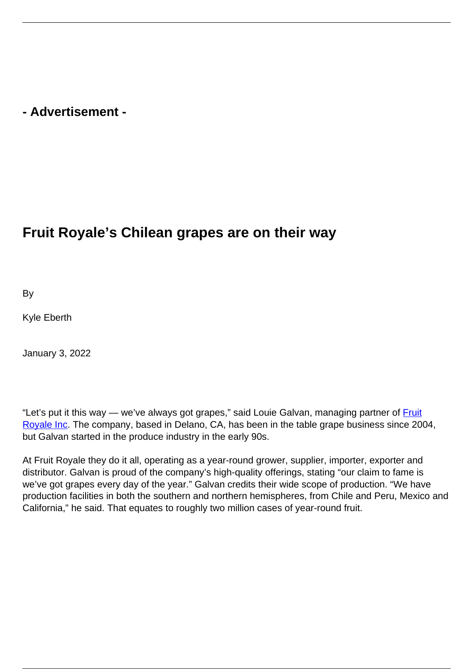## **- Advertisement -**

## **Fruit Royale's Chilean grapes are on their way**

By

Kyle Eberth

January 3, 2022

"Let's put it this way — we've always got grapes," said Louie Galvan, managing partner of **Fruit** [Royale Inc](https://fruitroyaleinc.com/). The company, based in Delano, CA, has been in the table grape business since 2004, but Galvan started in the produce industry in the early 90s.

At Fruit Royale they do it all, operating as a year-round grower, supplier, importer, exporter and distributor. Galvan is proud of the company's high-quality offerings, stating "our claim to fame is we've got grapes every day of the year." Galvan credits their wide scope of production. "We have production facilities in both the southern and northern hemispheres, from Chile and Peru, Mexico and California," he said. That equates to roughly two million cases of year-round fruit.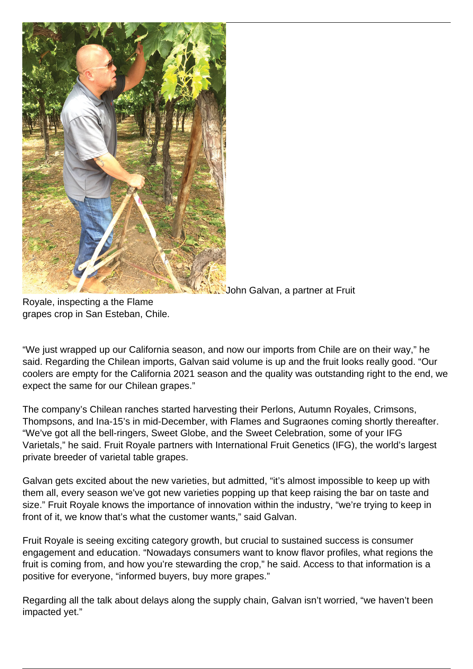

John Galvan, a partner at Fruit

Royale, inspecting a the Flame grapes crop in San Esteban, Chile.

"We just wrapped up our California season, and now our imports from Chile are on their way," he said. Regarding the Chilean imports, Galvan said volume is up and the fruit looks really good. "Our coolers are empty for the California 2021 season and the quality was outstanding right to the end, we expect the same for our Chilean grapes."

The company's Chilean ranches started harvesting their Perlons, Autumn Royales, Crimsons, Thompsons, and Ina-15's in mid-December, with Flames and Sugraones coming shortly thereafter. "We've got all the bell-ringers, Sweet Globe, and the Sweet Celebration, some of your IFG Varietals," he said. Fruit Royale partners with International Fruit Genetics (IFG), the world's largest private breeder of varietal table grapes.

Galvan gets excited about the new varieties, but admitted, "it's almost impossible to keep up with them all, every season we've got new varieties popping up that keep raising the bar on taste and size." Fruit Royale knows the importance of innovation within the industry, "we're trying to keep in front of it, we know that's what the customer wants," said Galvan.

Fruit Royale is seeing exciting category growth, but crucial to sustained success is consumer engagement and education. "Nowadays consumers want to know flavor profiles, what regions the fruit is coming from, and how you're stewarding the crop," he said. Access to that information is a positive for everyone, "informed buyers, buy more grapes."

Regarding all the talk about delays along the supply chain, Galvan isn't worried, "we haven't been impacted yet."